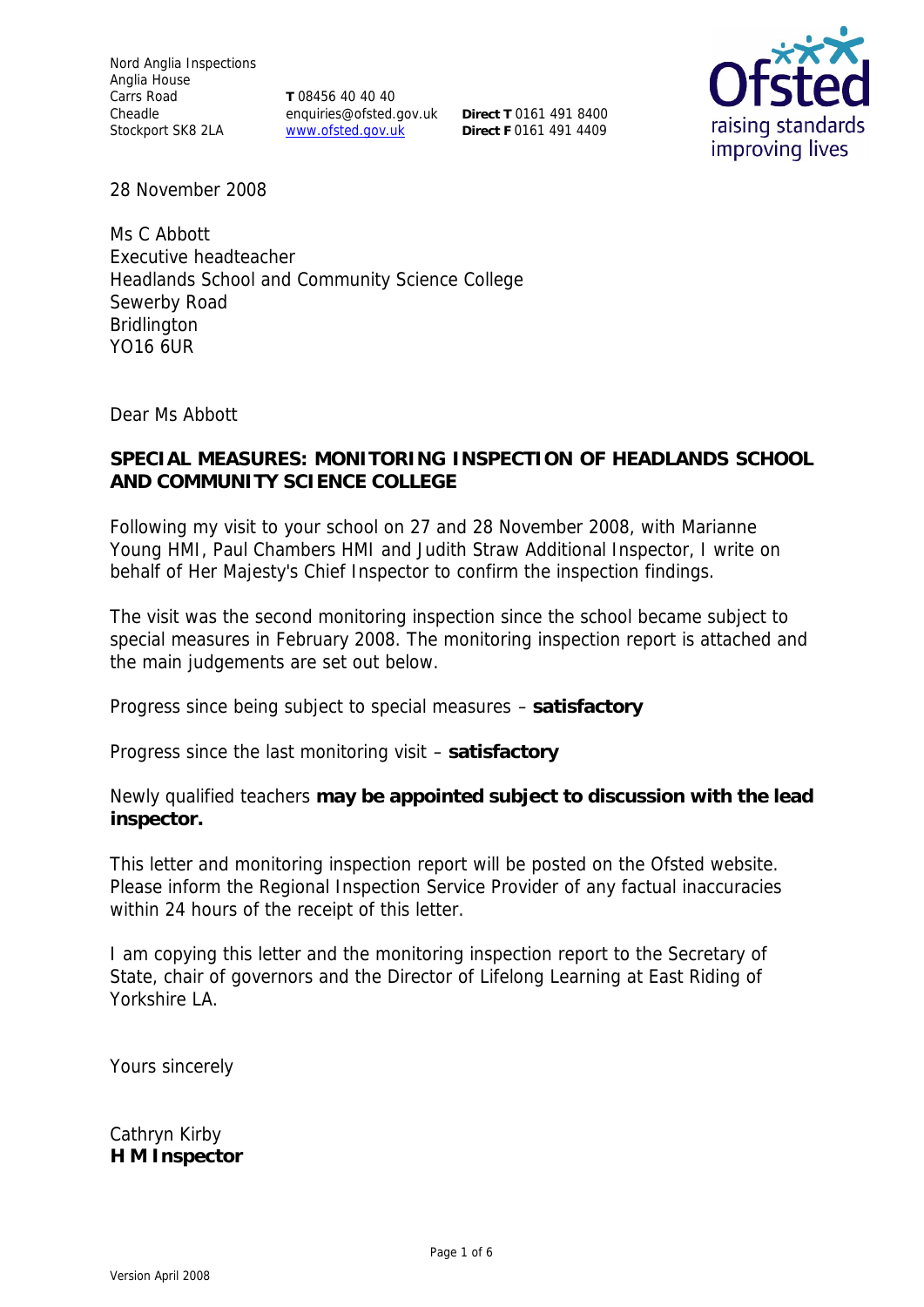Nord Anglia Inspections Anglia House Carrs Road Cheadle

Stockport SK8 2LA **WWW.ofsted.gov.uk** Direct F 0161 491 4409 **T** 08456 40 40 40 enquiries@ofsted.gov.uk **Direct T** 0161 491 8400



28 November 2008

Ms C Abbott Executive headteacher Headlands School and Community Science College Sewerby Road Bridlington YO16 6UR

Dear Ms Abbott

### **SPECIAL MEASURES: MONITORING INSPECTION OF HEADLANDS SCHOOL AND COMMUNITY SCIENCE COLLEGE**

Following my visit to your school on 27 and 28 November 2008, with Marianne Young HMI, Paul Chambers HMI and Judith Straw Additional Inspector, I write on behalf of Her Majesty's Chief Inspector to confirm the inspection findings.

The visit was the second monitoring inspection since the school became subject to special measures in February 2008. The monitoring inspection report is attached and the main judgements are set out below.

Progress since being subject to special measures – **satisfactory**

Progress since the last monitoring visit – **satisfactory** 

Newly qualified teachers **may be appointed subject to discussion with the lead inspector.**

This letter and monitoring inspection report will be posted on the Ofsted website. Please inform the Regional Inspection Service Provider of any factual inaccuracies within 24 hours of the receipt of this letter.

I am copying this letter and the monitoring inspection report to the Secretary of State, chair of governors and the Director of Lifelong Learning at East Riding of Yorkshire LA.

Yours sincerely

Cathryn Kirby **H M Inspector**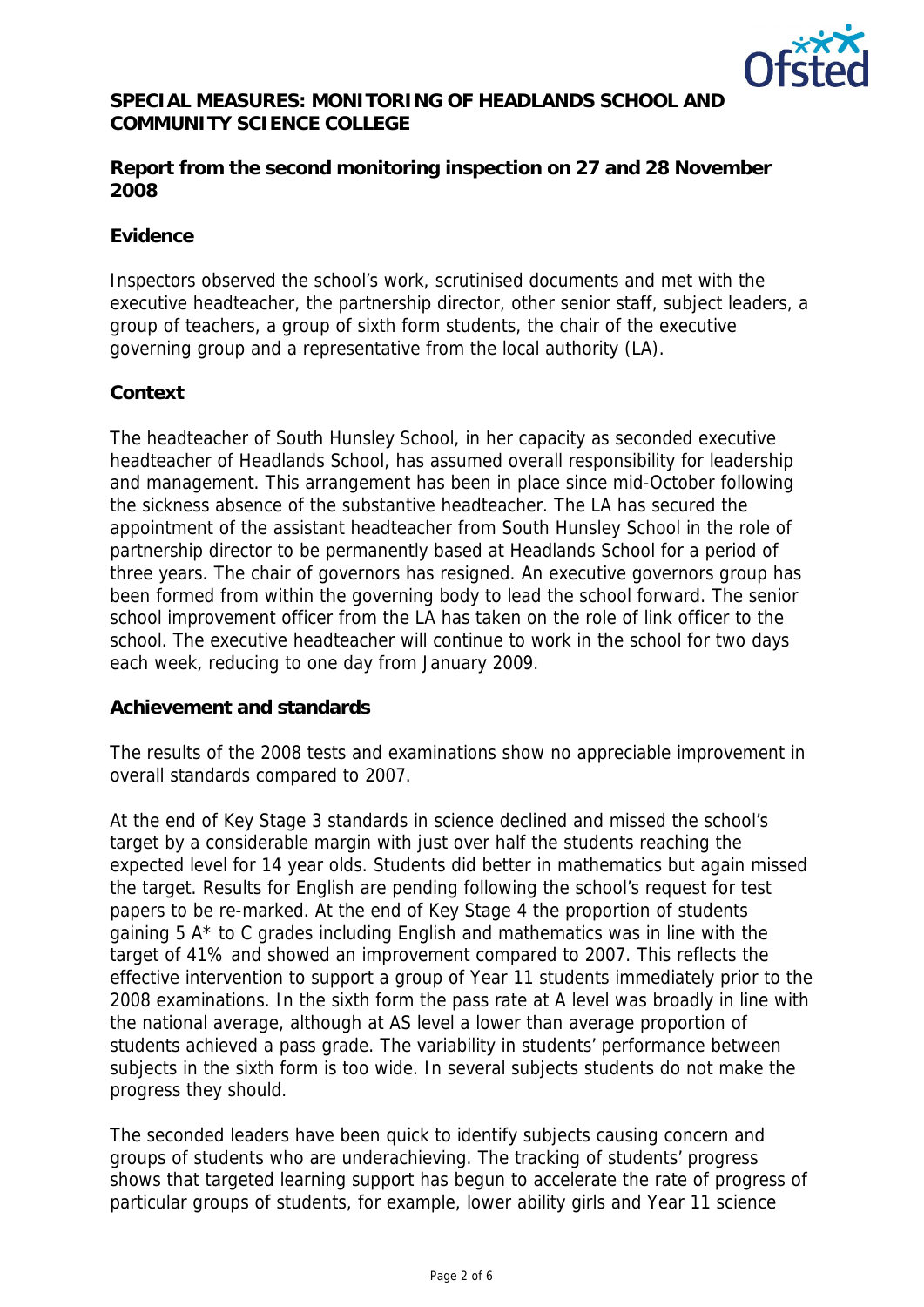

## **SPECIAL MEASURES: MONITORING OF HEADLANDS SCHOOL AND COMMUNITY SCIENCE COLLEGE**

**Report from the second monitoring inspection on 27 and 28 November 2008**

### **Evidence**

Inspectors observed the school's work, scrutinised documents and met with the executive headteacher, the partnership director, other senior staff, subject leaders, a group of teachers, a group of sixth form students, the chair of the executive governing group and a representative from the local authority (LA).

#### **Context**

The headteacher of South Hunsley School, in her capacity as seconded executive headteacher of Headlands School, has assumed overall responsibility for leadership and management. This arrangement has been in place since mid-October following the sickness absence of the substantive headteacher. The LA has secured the appointment of the assistant headteacher from South Hunsley School in the role of partnership director to be permanently based at Headlands School for a period of three years. The chair of governors has resigned. An executive governors group has been formed from within the governing body to lead the school forward. The senior school improvement officer from the LA has taken on the role of link officer to the school. The executive headteacher will continue to work in the school for two days each week, reducing to one day from January 2009.

### **Achievement and standards**

The results of the 2008 tests and examinations show no appreciable improvement in overall standards compared to 2007.

At the end of Key Stage 3 standards in science declined and missed the school's target by a considerable margin with just over half the students reaching the expected level for 14 year olds. Students did better in mathematics but again missed the target. Results for English are pending following the school's request for test papers to be re-marked. At the end of Key Stage 4 the proportion of students gaining 5 A\* to C grades including English and mathematics was in line with the target of 41% and showed an improvement compared to 2007. This reflects the effective intervention to support a group of Year 11 students immediately prior to the 2008 examinations. In the sixth form the pass rate at A level was broadly in line with the national average, although at AS level a lower than average proportion of students achieved a pass grade. The variability in students' performance between subjects in the sixth form is too wide. In several subjects students do not make the progress they should.

The seconded leaders have been quick to identify subjects causing concern and groups of students who are underachieving. The tracking of students' progress shows that targeted learning support has begun to accelerate the rate of progress of particular groups of students, for example, lower ability girls and Year 11 science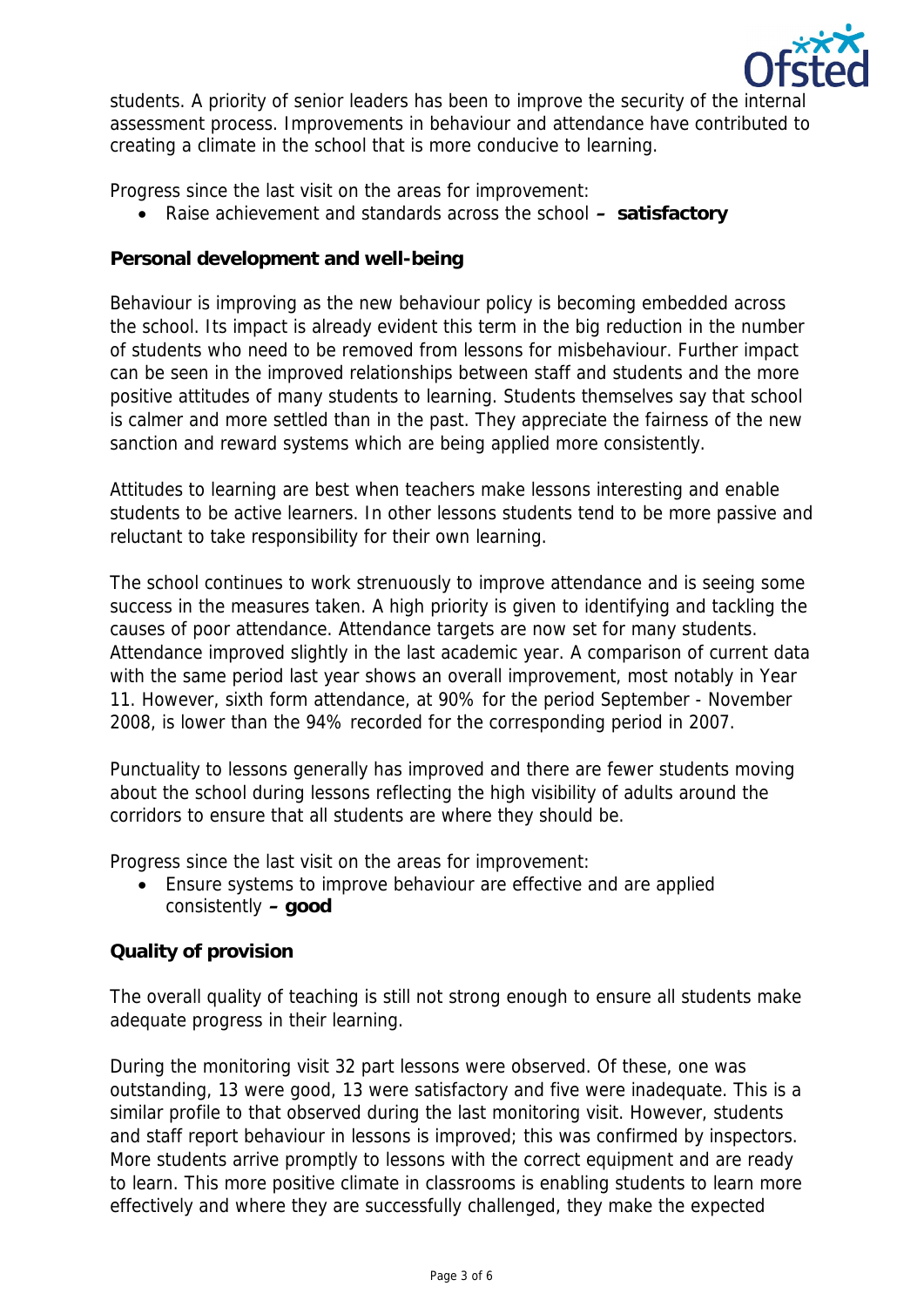

students. A priority of senior leaders has been to improve the security of the internal assessment process. Improvements in behaviour and attendance have contributed to creating a climate in the school that is more conducive to learning.

Progress since the last visit on the areas for improvement:

Raise achievement and standards across the school **– satisfactory**

**Personal development and well-being**

Behaviour is improving as the new behaviour policy is becoming embedded across the school. Its impact is already evident this term in the big reduction in the number of students who need to be removed from lessons for misbehaviour. Further impact can be seen in the improved relationships between staff and students and the more positive attitudes of many students to learning. Students themselves say that school is calmer and more settled than in the past. They appreciate the fairness of the new sanction and reward systems which are being applied more consistently.

Attitudes to learning are best when teachers make lessons interesting and enable students to be active learners. In other lessons students tend to be more passive and reluctant to take responsibility for their own learning.

The school continues to work strenuously to improve attendance and is seeing some success in the measures taken. A high priority is given to identifying and tackling the causes of poor attendance. Attendance targets are now set for many students. Attendance improved slightly in the last academic year. A comparison of current data with the same period last year shows an overall improvement, most notably in Year 11. However, sixth form attendance, at 90% for the period September - November 2008, is lower than the 94% recorded for the corresponding period in 2007.

Punctuality to lessons generally has improved and there are fewer students moving about the school during lessons reflecting the high visibility of adults around the corridors to ensure that all students are where they should be.

Progress since the last visit on the areas for improvement:

 Ensure systems to improve behaviour are effective and are applied consistently **– good**

# **Quality of provision**

The overall quality of teaching is still not strong enough to ensure all students make adequate progress in their learning.

During the monitoring visit 32 part lessons were observed. Of these, one was outstanding, 13 were good, 13 were satisfactory and five were inadequate. This is a similar profile to that observed during the last monitoring visit. However, students and staff report behaviour in lessons is improved; this was confirmed by inspectors. More students arrive promptly to lessons with the correct equipment and are ready to learn. This more positive climate in classrooms is enabling students to learn more effectively and where they are successfully challenged, they make the expected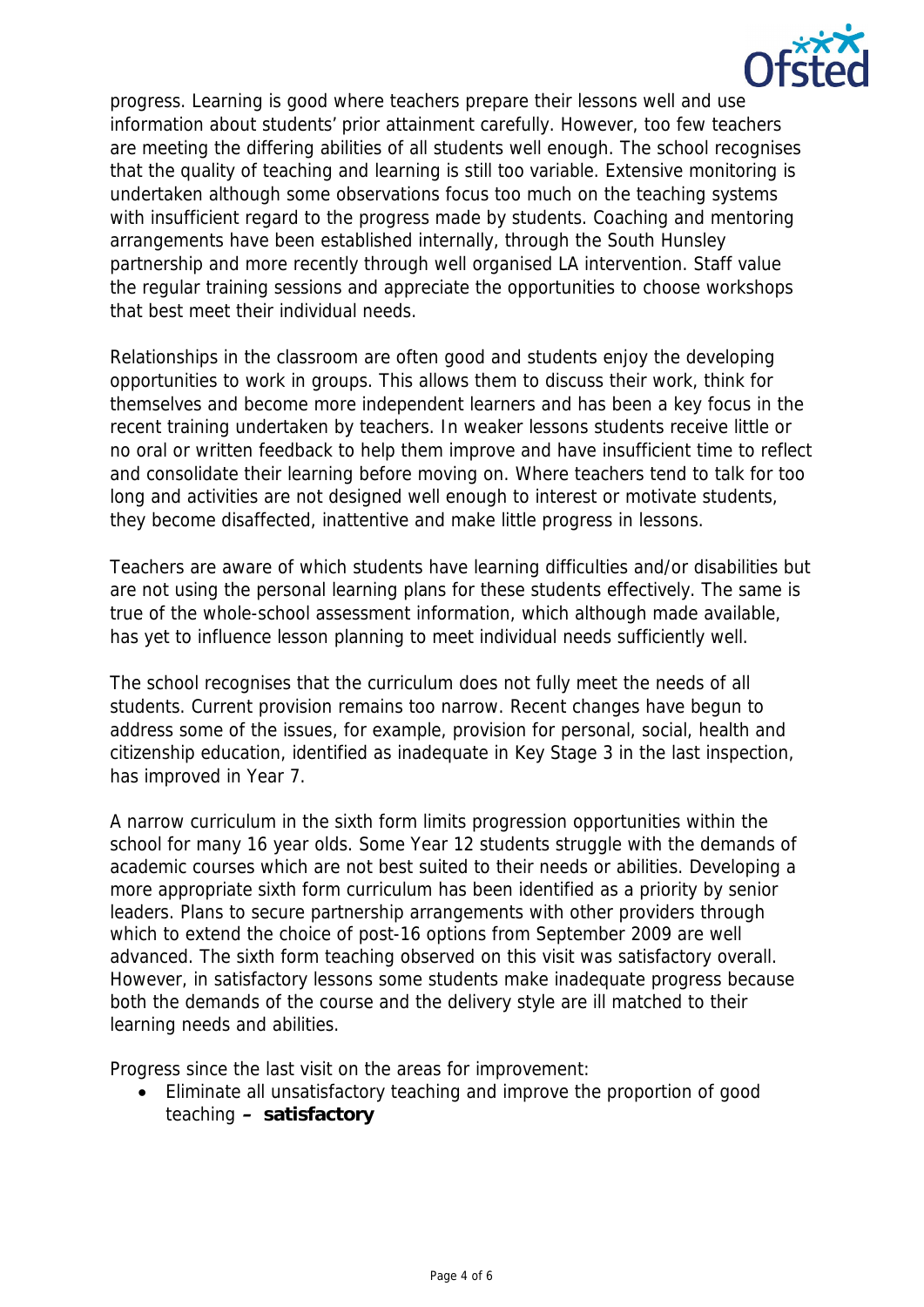

progress. Learning is good where teachers prepare their lessons well and use information about students' prior attainment carefully. However, too few teachers are meeting the differing abilities of all students well enough. The school recognises that the quality of teaching and learning is still too variable. Extensive monitoring is undertaken although some observations focus too much on the teaching systems with insufficient regard to the progress made by students. Coaching and mentoring arrangements have been established internally, through the South Hunsley partnership and more recently through well organised LA intervention. Staff value the regular training sessions and appreciate the opportunities to choose workshops that best meet their individual needs.

Relationships in the classroom are often good and students enjoy the developing opportunities to work in groups. This allows them to discuss their work, think for themselves and become more independent learners and has been a key focus in the recent training undertaken by teachers. In weaker lessons students receive little or no oral or written feedback to help them improve and have insufficient time to reflect and consolidate their learning before moving on. Where teachers tend to talk for too long and activities are not designed well enough to interest or motivate students, they become disaffected, inattentive and make little progress in lessons.

Teachers are aware of which students have learning difficulties and/or disabilities but are not using the personal learning plans for these students effectively. The same is true of the whole-school assessment information, which although made available, has yet to influence lesson planning to meet individual needs sufficiently well.

The school recognises that the curriculum does not fully meet the needs of all students. Current provision remains too narrow. Recent changes have begun to address some of the issues, for example, provision for personal, social, health and citizenship education, identified as inadequate in Key Stage 3 in the last inspection, has improved in Year 7.

A narrow curriculum in the sixth form limits progression opportunities within the school for many 16 year olds. Some Year 12 students struggle with the demands of academic courses which are not best suited to their needs or abilities. Developing a more appropriate sixth form curriculum has been identified as a priority by senior leaders. Plans to secure partnership arrangements with other providers through which to extend the choice of post-16 options from September 2009 are well advanced. The sixth form teaching observed on this visit was satisfactory overall. However, in satisfactory lessons some students make inadequate progress because both the demands of the course and the delivery style are ill matched to their learning needs and abilities.

Progress since the last visit on the areas for improvement:

 Eliminate all unsatisfactory teaching and improve the proportion of good teaching **– satisfactory**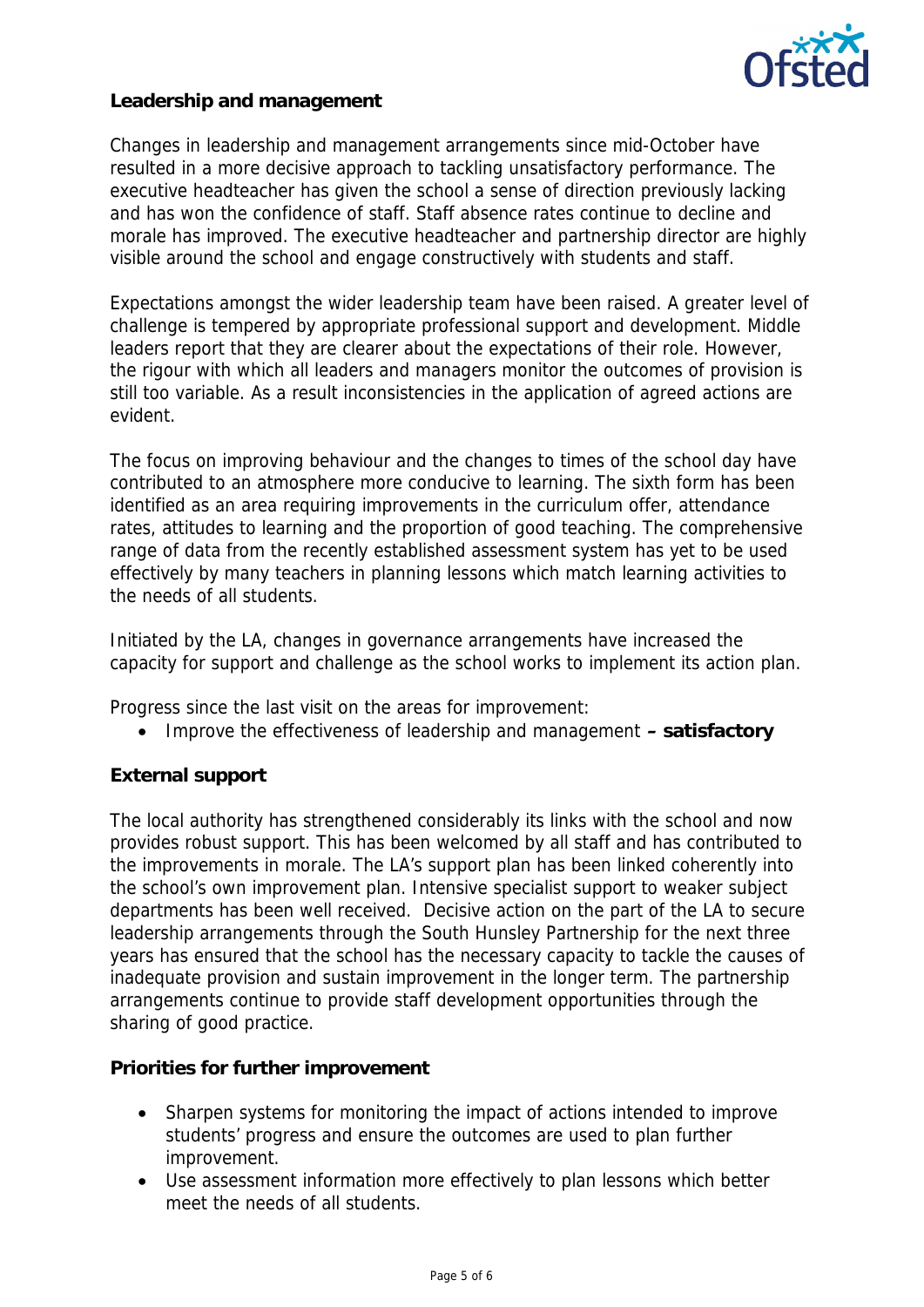

**Leadership and management**

Changes in leadership and management arrangements since mid-October have resulted in a more decisive approach to tackling unsatisfactory performance. The executive headteacher has given the school a sense of direction previously lacking and has won the confidence of staff. Staff absence rates continue to decline and morale has improved. The executive headteacher and partnership director are highly visible around the school and engage constructively with students and staff.

Expectations amongst the wider leadership team have been raised. A greater level of challenge is tempered by appropriate professional support and development. Middle leaders report that they are clearer about the expectations of their role. However, the rigour with which all leaders and managers monitor the outcomes of provision is still too variable. As a result inconsistencies in the application of agreed actions are evident.

The focus on improving behaviour and the changes to times of the school day have contributed to an atmosphere more conducive to learning. The sixth form has been identified as an area requiring improvements in the curriculum offer, attendance rates, attitudes to learning and the proportion of good teaching. The comprehensive range of data from the recently established assessment system has yet to be used effectively by many teachers in planning lessons which match learning activities to the needs of all students.

Initiated by the LA, changes in governance arrangements have increased the capacity for support and challenge as the school works to implement its action plan.

Progress since the last visit on the areas for improvement:

Improve the effectiveness of leadership and management **– satisfactory**

# **External support**

The local authority has strengthened considerably its links with the school and now provides robust support. This has been welcomed by all staff and has contributed to the improvements in morale. The LA's support plan has been linked coherently into the school's own improvement plan. Intensive specialist support to weaker subject departments has been well received. Decisive action on the part of the LA to secure leadership arrangements through the South Hunsley Partnership for the next three years has ensured that the school has the necessary capacity to tackle the causes of inadequate provision and sustain improvement in the longer term. The partnership arrangements continue to provide staff development opportunities through the sharing of good practice.

**Priorities for further improvement**

- Sharpen systems for monitoring the impact of actions intended to improve students' progress and ensure the outcomes are used to plan further improvement.
- Use assessment information more effectively to plan lessons which better meet the needs of all students.